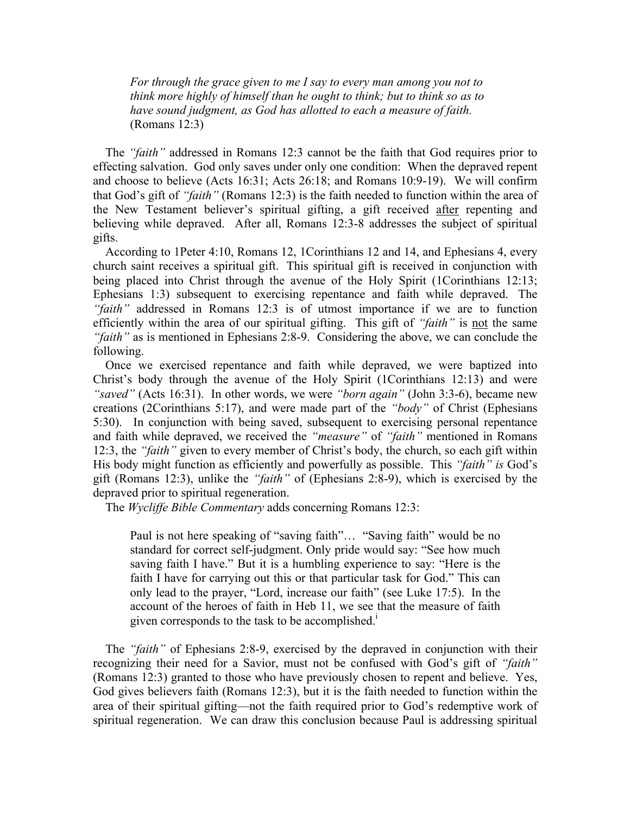*For through the grace given to me I say to every man among you not to think more highly of himself than he ought to think; but to think so as to have sound judgment, as God has allotted to each a measure of faith.* (Romans 12:3)

 The *"faith"* addressed in Romans 12:3 cannot be the faith that God requires prior to effecting salvation. God only saves under only one condition: When the depraved repent and choose to believe (Acts 16:31; Acts 26:18; and Romans 10:9-19). We will confirm that God's gift of *"faith"* (Romans 12:3) is the faith needed to function within the area of the New Testament believer's spiritual gifting, a gift received after repenting and believing while depraved. After all, Romans 12:3-8 addresses the subject of spiritual gifts.

 According to 1Peter 4:10, Romans 12, 1Corinthians 12 and 14, and Ephesians 4, every church saint receives a spiritual gift. This spiritual gift is received in conjunction with being placed into Christ through the avenue of the Holy Spirit (1Corinthians 12:13; Ephesians 1:3) subsequent to exercising repentance and faith while depraved. The *"faith"* addressed in Romans 12:3 is of utmost importance if we are to function efficiently within the area of our spiritual gifting. This gift of *"faith"* is not the same *"faith"* as is mentioned in Ephesians 2:8-9. Considering the above, we can conclude the following.

 Once we exercised repentance and faith while depraved, we were baptized into Christ's body through the avenue of the Holy Spirit (1Corinthians 12:13) and were *"saved"* (Acts 16:31). In other words, we were *"born again"* (John 3:3-6), became new creations (2Corinthians 5:17), and were made part of the *"body"* of Christ (Ephesians 5:30). In conjunction with being saved, subsequent to exercising personal repentance and faith while depraved, we received the *"measure"* of *"faith"* mentioned in Romans 12:3, the *"faith"* given to every member of Christ's body, the church, so each gift within His body might function as efficiently and powerfully as possible. This *"faith" is* God's gift (Romans 12:3), unlike the *"faith"* of (Ephesians 2:8-9), which is exercised by the depraved prior to spiritual regeneration.

The *Wycliffe Bible Commentary* adds concerning Romans 12:3:

Paul is not here speaking of "saving faith"… "Saving faith" would be no standard for correct self-judgment. Only pride would say: "See how much saving faith I have." But it is a humbling experience to say: "Here is the faith I have for carrying out this or that particular task for God." This can only lead to the prayer, "Lord, increase our faith" (see Luke 17:5). In the account of the heroes of faith in Heb 11, we see that the measure of faith given corresponds to the task to be accomplished.<sup>1</sup>

 The *"faith"* of Ephesians 2:8-9, exercised by the depraved in conjunction with their recognizing their need for a Savior, must not be confused with God's gift of *"faith"* (Romans 12:3) granted to those who have previously chosen to repent and believe. Yes, God gives believers faith (Romans 12:3), but it is the faith needed to function within the area of their spiritual gifting—not the faith required prior to God's redemptive work of spiritual regeneration. We can draw this conclusion because Paul is addressing spiritual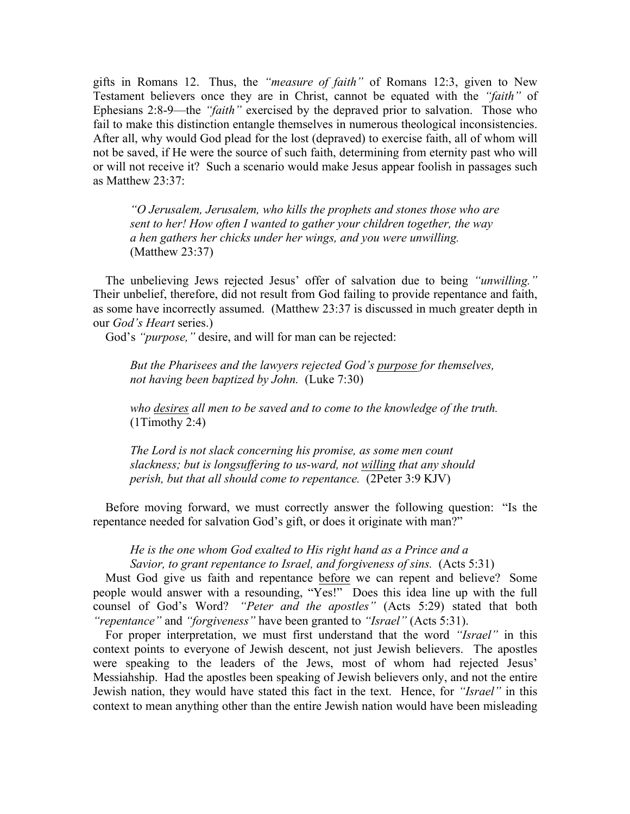gifts in Romans 12. Thus, the *"measure of faith"* of Romans 12:3, given to New Testament believers once they are in Christ, cannot be equated with the *"faith"* of Ephesians 2:8-9—the *"faith"* exercised by the depraved prior to salvation. Those who fail to make this distinction entangle themselves in numerous theological inconsistencies. After all, why would God plead for the lost (depraved) to exercise faith, all of whom will not be saved, if He were the source of such faith, determining from eternity past who will or will not receive it? Such a scenario would make Jesus appear foolish in passages such as Matthew 23:37:

*"O Jerusalem, Jerusalem, who kills the prophets and stones those who are sent to her! How often I wanted to gather your children together, the way a hen gathers her chicks under her wings, and you were unwilling.* (Matthew 23:37)

 The unbelieving Jews rejected Jesus' offer of salvation due to being *"unwilling."* Their unbelief, therefore, did not result from God failing to provide repentance and faith, as some have incorrectly assumed. (Matthew 23:37 is discussed in much greater depth in our *God's Heart* series.)

God's *"purpose,"* desire, and will for man can be rejected:

*But the Pharisees and the lawyers rejected God's purpose for themselves, not having been baptized by John.* (Luke 7:30)

*who desires all men to be saved and to come to the knowledge of the truth.*   $(1Timothy 2:4)$ 

*The Lord is not slack concerning his promise, as some men count slackness; but is longsuffering to us-ward, not willing that any should perish, but that all should come to repentance.* (2Peter 3:9 KJV)

 Before moving forward, we must correctly answer the following question: "Is the repentance needed for salvation God's gift, or does it originate with man?"

*He is the one whom God exalted to His right hand as a Prince and a Savior, to grant repentance to Israel, and forgiveness of sins.* (Acts 5:31)

 Must God give us faith and repentance before we can repent and believe? Some people would answer with a resounding, "Yes!" Does this idea line up with the full counsel of God's Word? *"Peter and the apostles"* (Acts 5:29) stated that both *"repentance"* and *"forgiveness"* have been granted to *"Israel"* (Acts 5:31).

 For proper interpretation, we must first understand that the word *"Israel"* in this context points to everyone of Jewish descent, not just Jewish believers. The apostles were speaking to the leaders of the Jews, most of whom had rejected Jesus' Messiahship. Had the apostles been speaking of Jewish believers only, and not the entire Jewish nation, they would have stated this fact in the text. Hence, for *"Israel"* in this context to mean anything other than the entire Jewish nation would have been misleading